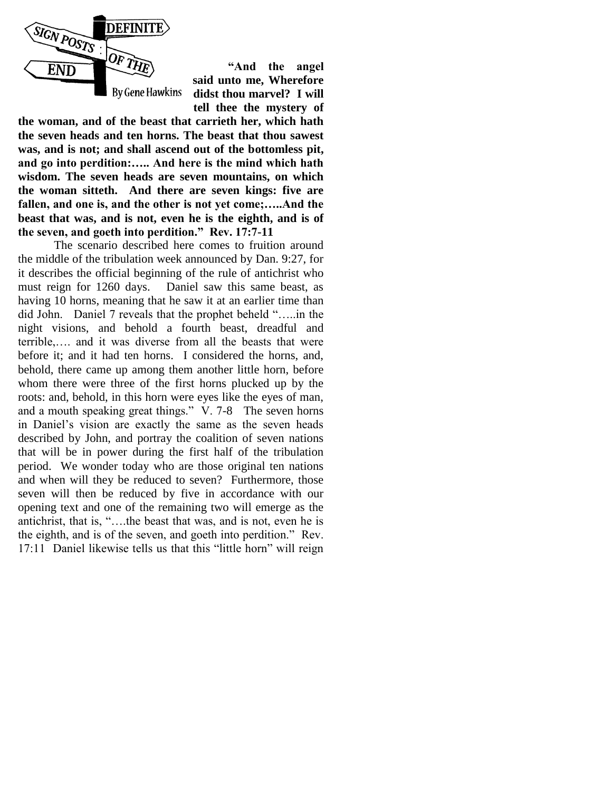

**"And the angel said unto me, Wherefore didst thou marvel? I will tell thee the mystery of** 

**the woman, and of the beast that carrieth her, which hath the seven heads and ten horns. The beast that thou sawest was, and is not; and shall ascend out of the bottomless pit, and go into perdition:….. And here is the mind which hath wisdom. The seven heads are seven mountains, on which the woman sitteth. And there are seven kings: five are fallen, and one is, and the other is not yet come;…..And the beast that was, and is not, even he is the eighth, and is of the seven, and goeth into perdition." Rev. 17:7-11**

The scenario described here comes to fruition around the middle of the tribulation week announced by Dan. 9:27, for it describes the official beginning of the rule of antichrist who must reign for 1260 days. Daniel saw this same beast, as having 10 horns, meaning that he saw it at an earlier time than did John. Daniel 7 reveals that the prophet beheld "…..in the night visions, and behold a fourth beast, dreadful and terrible,…. and it was diverse from all the beasts that were before it; and it had ten horns. I considered the horns, and, behold, there came up among them another little horn, before whom there were three of the first horns plucked up by the roots: and, behold, in this horn were eyes like the eyes of man, and a mouth speaking great things." V. 7-8 The seven horns in Daniel"s vision are exactly the same as the seven heads described by John, and portray the coalition of seven nations that will be in power during the first half of the tribulation period. We wonder today who are those original ten nations and when will they be reduced to seven? Furthermore, those seven will then be reduced by five in accordance with our opening text and one of the remaining two will emerge as the antichrist, that is, "….the beast that was, and is not, even he is the eighth, and is of the seven, and goeth into perdition." Rev. 17:11 Daniel likewise tells us that this "little horn" will reign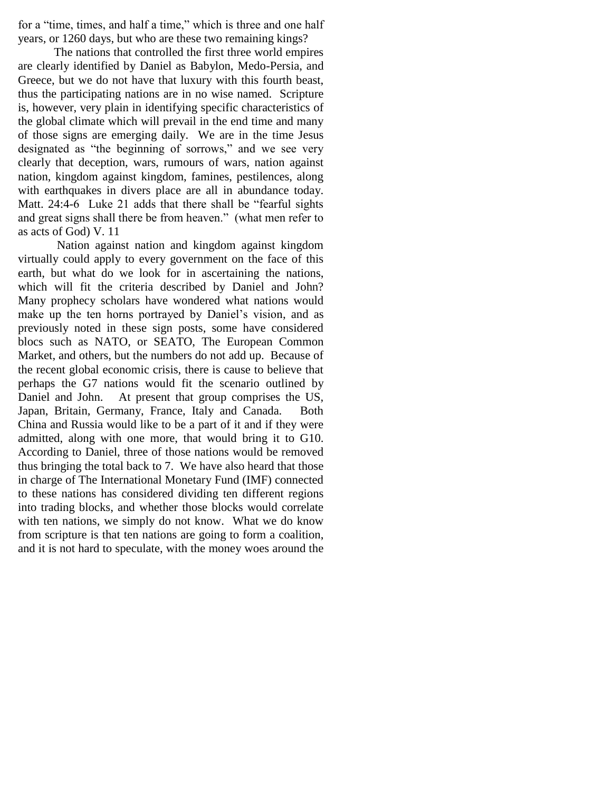for a "time, times, and half a time," which is three and one half years, or 1260 days, but who are these two remaining kings?

The nations that controlled the first three world empires are clearly identified by Daniel as Babylon, Medo-Persia, and Greece, but we do not have that luxury with this fourth beast, thus the participating nations are in no wise named. Scripture is, however, very plain in identifying specific characteristics of the global climate which will prevail in the end time and many of those signs are emerging daily. We are in the time Jesus designated as "the beginning of sorrows," and we see very clearly that deception, wars, rumours of wars, nation against nation, kingdom against kingdom, famines, pestilences, along with earthquakes in divers place are all in abundance today. Matt. 24:4-6 Luke 21 adds that there shall be "fearful sights and great signs shall there be from heaven." (what men refer to as acts of God) V. 11

Nation against nation and kingdom against kingdom virtually could apply to every government on the face of this earth, but what do we look for in ascertaining the nations, which will fit the criteria described by Daniel and John? Many prophecy scholars have wondered what nations would make up the ten horns portrayed by Daniel"s vision, and as previously noted in these sign posts, some have considered blocs such as NATO, or SEATO, The European Common Market, and others, but the numbers do not add up. Because of the recent global economic crisis, there is cause to believe that perhaps the G7 nations would fit the scenario outlined by Daniel and John. At present that group comprises the US, Japan, Britain, Germany, France, Italy and Canada. Both China and Russia would like to be a part of it and if they were admitted, along with one more, that would bring it to G10. According to Daniel, three of those nations would be removed thus bringing the total back to 7. We have also heard that those in charge of The International Monetary Fund (IMF) connected to these nations has considered dividing ten different regions into trading blocks, and whether those blocks would correlate with ten nations, we simply do not know. What we do know from scripture is that ten nations are going to form a coalition, and it is not hard to speculate, with the money woes around the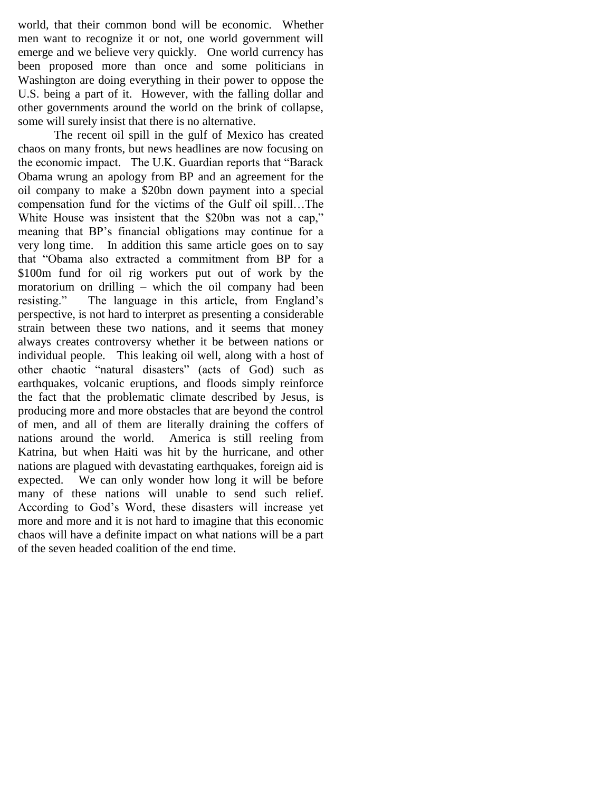world, that their common bond will be economic. Whether men want to recognize it or not, one world government will emerge and we believe very quickly. One world currency has been proposed more than once and some politicians in Washington are doing everything in their power to oppose the U.S. being a part of it. However, with the falling dollar and other governments around the world on the brink of collapse, some will surely insist that there is no alternative.

The recent oil spill in the gulf of Mexico has created chaos on many fronts, but news headlines are now focusing on the economic impact. The U.K. Guardian reports that "Barack Obama wrung an apology from BP and an agreement for the oil company to make a \$20bn down payment into a special compensation fund for the victims of the Gulf oil spill…The White House was insistent that the \$20bn was not a cap," meaning that BP"s financial obligations may continue for a very long time. In addition this same article goes on to say that "Obama also extracted a commitment from BP for a \$100m fund for oil rig workers put out of work by the moratorium on drilling – which the oil company had been resisting." The language in this article, from England"s perspective, is not hard to interpret as presenting a considerable strain between these two nations, and it seems that money always creates controversy whether it be between nations or individual people. This leaking oil well, along with a host of other chaotic "natural disasters" (acts of God) such as earthquakes, volcanic eruptions, and floods simply reinforce the fact that the problematic climate described by Jesus, is producing more and more obstacles that are beyond the control of men, and all of them are literally draining the coffers of nations around the world. America is still reeling from Katrina, but when Haiti was hit by the hurricane, and other nations are plagued with devastating earthquakes, foreign aid is expected. We can only wonder how long it will be before many of these nations will unable to send such relief. According to God"s Word, these disasters will increase yet more and more and it is not hard to imagine that this economic chaos will have a definite impact on what nations will be a part of the seven headed coalition of the end time.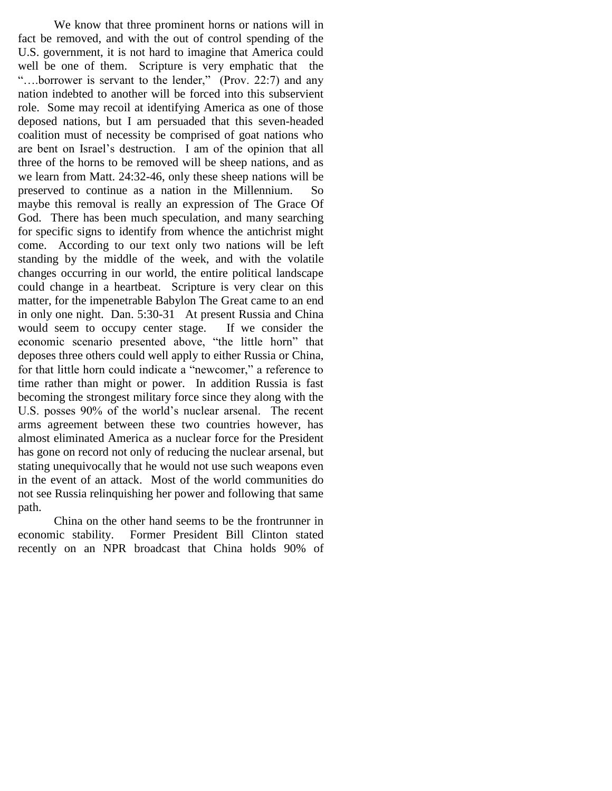We know that three prominent horns or nations will in fact be removed, and with the out of control spending of the U.S. government, it is not hard to imagine that America could well be one of them. Scripture is very emphatic that the "….borrower is servant to the lender," (Prov. 22:7) and any nation indebted to another will be forced into this subservient role. Some may recoil at identifying America as one of those deposed nations, but I am persuaded that this seven-headed coalition must of necessity be comprised of goat nations who are bent on Israel"s destruction. I am of the opinion that all three of the horns to be removed will be sheep nations, and as we learn from Matt. 24:32-46, only these sheep nations will be preserved to continue as a nation in the Millennium. So maybe this removal is really an expression of The Grace Of God. There has been much speculation, and many searching for specific signs to identify from whence the antichrist might come. According to our text only two nations will be left standing by the middle of the week, and with the volatile changes occurring in our world, the entire political landscape could change in a heartbeat. Scripture is very clear on this matter, for the impenetrable Babylon The Great came to an end in only one night. Dan. 5:30-31 At present Russia and China would seem to occupy center stage. If we consider the economic scenario presented above, "the little horn" that deposes three others could well apply to either Russia or China, for that little horn could indicate a "newcomer," a reference to time rather than might or power. In addition Russia is fast becoming the strongest military force since they along with the U.S. posses 90% of the world"s nuclear arsenal. The recent arms agreement between these two countries however, has almost eliminated America as a nuclear force for the President has gone on record not only of reducing the nuclear arsenal, but stating unequivocally that he would not use such weapons even in the event of an attack. Most of the world communities do not see Russia relinquishing her power and following that same path.

China on the other hand seems to be the frontrunner in economic stability. Former President Bill Clinton stated recently on an NPR broadcast that China holds 90% of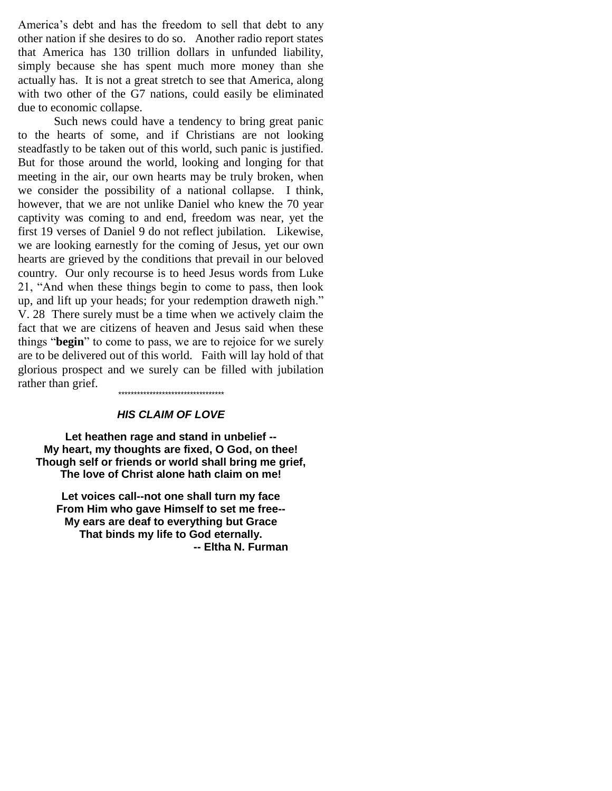America"s debt and has the freedom to sell that debt to any other nation if she desires to do so. Another radio report states that America has 130 trillion dollars in unfunded liability, simply because she has spent much more money than she actually has. It is not a great stretch to see that America, along with two other of the G7 nations, could easily be eliminated due to economic collapse.

Such news could have a tendency to bring great panic to the hearts of some, and if Christians are not looking steadfastly to be taken out of this world, such panic is justified. But for those around the world, looking and longing for that meeting in the air, our own hearts may be truly broken, when we consider the possibility of a national collapse. I think, however, that we are not unlike Daniel who knew the 70 year captivity was coming to and end, freedom was near, yet the first 19 verses of Daniel 9 do not reflect jubilation. Likewise, we are looking earnestly for the coming of Jesus, yet our own hearts are grieved by the conditions that prevail in our beloved country. Our only recourse is to heed Jesus words from Luke 21, "And when these things begin to come to pass, then look up, and lift up your heads; for your redemption draweth nigh." V. 28 There surely must be a time when we actively claim the fact that we are citizens of heaven and Jesus said when these things "**begin**" to come to pass, we are to rejoice for we surely are to be delivered out of this world. Faith will lay hold of that glorious prospect and we surely can be filled with jubilation rather than grief. *\*\*\*\*\*\*\*\*\*\*\*\*\*\*\*\*\*\*\*\*\*\*\*\*\*\*\*\*\*\*\*\*\*\**

## *HIS CLAIM OF LOVE*

**Let heathen rage and stand in unbelief -- My heart, my thoughts are fixed, O God, on thee! Though self or friends or world shall bring me grief, The love of Christ alone hath claim on me!**

**Let voices call--not one shall turn my face From Him who gave Himself to set me free-- My ears are deaf to everything but Grace That binds my life to God eternally. -- Eltha N. Furman**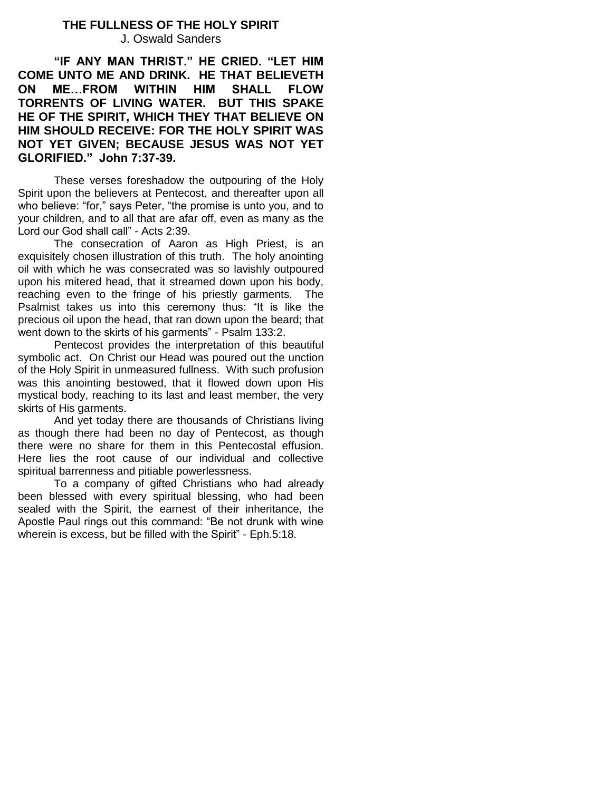## **THE FULLNESS OF THE HOLY SPIRIT** J. Oswald Sanders

**"IF ANY MAN THRIST." HE CRIED. "LET HIM COME UNTO ME AND DRINK. HE THAT BELIEVETH ON ME…FROM WITHIN HIM SHALL FLOW TORRENTS OF LIVING WATER. BUT THIS SPAKE HE OF THE SPIRIT, WHICH THEY THAT BELIEVE ON HIM SHOULD RECEIVE: FOR THE HOLY SPIRIT WAS NOT YET GIVEN; BECAUSE JESUS WAS NOT YET GLORIFIED." John 7:37-39.**

These verses foreshadow the outpouring of the Holy Spirit upon the believers at Pentecost, and thereafter upon all who believe: "for," says Peter, "the promise is unto you, and to your children, and to all that are afar off, even as many as the Lord our God shall call" - Acts 2:39.

The consecration of Aaron as High Priest, is an exquisitely chosen illustration of this truth. The holy anointing oil with which he was consecrated was so lavishly outpoured upon his mitered head, that it streamed down upon his body, reaching even to the fringe of his priestly garments. The Psalmist takes us into this ceremony thus: "It is like the precious oil upon the head, that ran down upon the beard; that went down to the skirts of his garments" - Psalm 133:2.

Pentecost provides the interpretation of this beautiful symbolic act. On Christ our Head was poured out the unction of the Holy Spirit in unmeasured fullness. With such profusion was this anointing bestowed, that it flowed down upon His mystical body, reaching to its last and least member, the very skirts of His garments.

And yet today there are thousands of Christians living as though there had been no day of Pentecost, as though there were no share for them in this Pentecostal effusion. Here lies the root cause of our individual and collective spiritual barrenness and pitiable powerlessness.

To a company of gifted Christians who had already been blessed with every spiritual blessing, who had been sealed with the Spirit, the earnest of their inheritance, the Apostle Paul rings out this command: "Be not drunk with wine wherein is excess, but be filled with the Spirit" - Eph.5:18.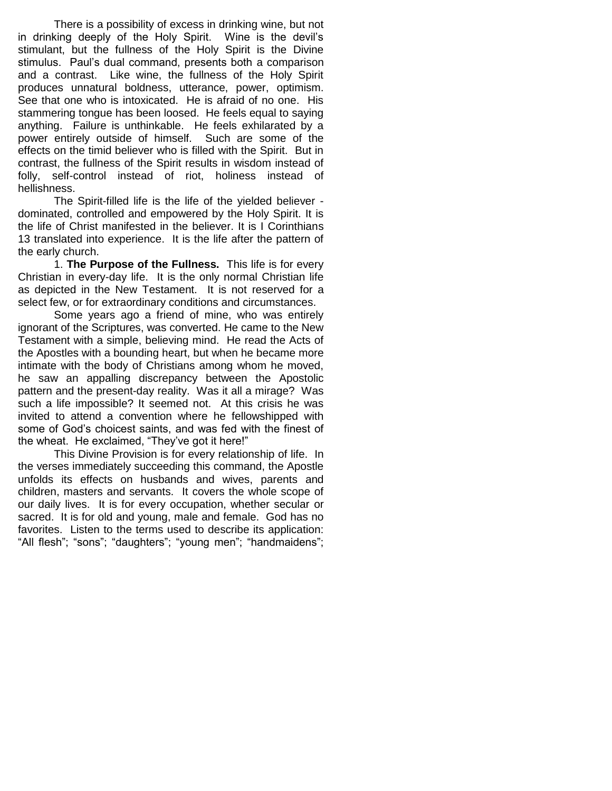There is a possibility of excess in drinking wine, but not in drinking deeply of the Holy Spirit. Wine is the devil"s stimulant, but the fullness of the Holy Spirit is the Divine stimulus. Paul"s dual command, presents both a comparison and a contrast. Like wine, the fullness of the Holy Spirit produces unnatural boldness, utterance, power, optimism. See that one who is intoxicated. He is afraid of no one. His stammering tongue has been loosed. He feels equal to saying anything. Failure is unthinkable. He feels exhilarated by a power entirely outside of himself. Such are some of the effects on the timid believer who is filled with the Spirit. But in contrast, the fullness of the Spirit results in wisdom instead of folly, self-control instead of riot, holiness instead of hellishness.

The Spirit-filled life is the life of the yielded believer dominated, controlled and empowered by the Holy Spirit. It is the life of Christ manifested in the believer. It is I Corinthians 13 translated into experience. It is the life after the pattern of the early church.

1. **The Purpose of the Fullness.** This life is for every Christian in every-day life. It is the only normal Christian life as depicted in the New Testament. It is not reserved for a select few, or for extraordinary conditions and circumstances.

Some years ago a friend of mine, who was entirely ignorant of the Scriptures, was converted. He came to the New Testament with a simple, believing mind. He read the Acts of the Apostles with a bounding heart, but when he became more intimate with the body of Christians among whom he moved, he saw an appalling discrepancy between the Apostolic pattern and the present-day reality. Was it all a mirage? Was such a life impossible? It seemed not. At this crisis he was invited to attend a convention where he fellowshipped with some of God's choicest saints, and was fed with the finest of the wheat. He exclaimed, "They"ve got it here!"

This Divine Provision is for every relationship of life. In the verses immediately succeeding this command, the Apostle unfolds its effects on husbands and wives, parents and children, masters and servants. It covers the whole scope of our daily lives. It is for every occupation, whether secular or sacred. It is for old and young, male and female. God has no favorites. Listen to the terms used to describe its application: "All flesh"; "sons"; "daughters"; "young men"; "handmaidens";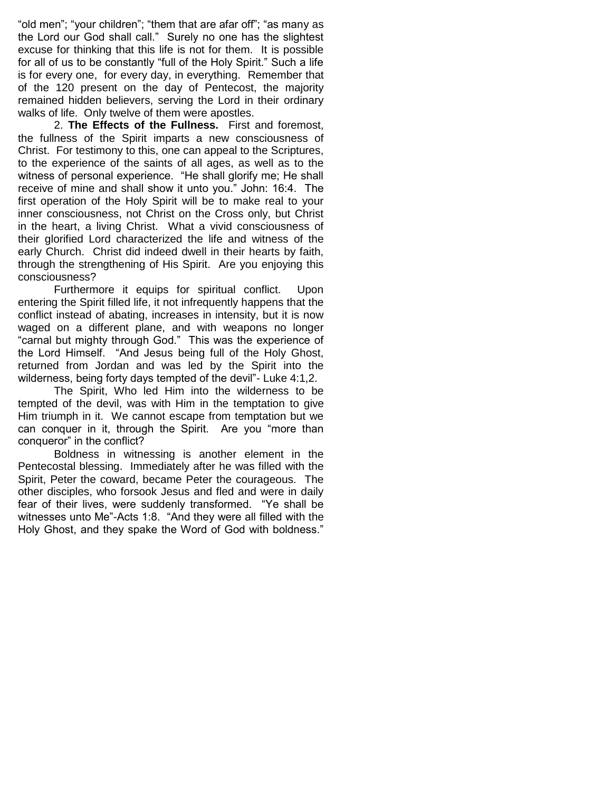"old men"; "your children"; "them that are afar off"; "as many as the Lord our God shall call." Surely no one has the slightest excuse for thinking that this life is not for them. It is possible for all of us to be constantly "full of the Holy Spirit." Such a life is for every one, for every day, in everything. Remember that of the 120 present on the day of Pentecost, the majority remained hidden believers, serving the Lord in their ordinary walks of life. Only twelve of them were apostles.

2. **The Effects of the Fullness.** First and foremost, the fullness of the Spirit imparts a new consciousness of Christ. For testimony to this, one can appeal to the Scriptures, to the experience of the saints of all ages, as well as to the witness of personal experience. "He shall glorify me; He shall receive of mine and shall show it unto you." John: 16:4. The first operation of the Holy Spirit will be to make real to your inner consciousness, not Christ on the Cross only, but Christ in the heart, a living Christ. What a vivid consciousness of their glorified Lord characterized the life and witness of the early Church. Christ did indeed dwell in their hearts by faith, through the strengthening of His Spirit. Are you enjoying this consciousness?

Furthermore it equips for spiritual conflict. Upon entering the Spirit filled life, it not infrequently happens that the conflict instead of abating, increases in intensity, but it is now waged on a different plane, and with weapons no longer "carnal but mighty through God." This was the experience of the Lord Himself. "And Jesus being full of the Holy Ghost, returned from Jordan and was led by the Spirit into the wilderness, being forty days tempted of the devil"- Luke 4:1,2.

The Spirit, Who led Him into the wilderness to be tempted of the devil, was with Him in the temptation to give Him triumph in it. We cannot escape from temptation but we can conquer in it, through the Spirit. Are you "more than conqueror" in the conflict?

Boldness in witnessing is another element in the Pentecostal blessing. Immediately after he was filled with the Spirit, Peter the coward, became Peter the courageous. The other disciples, who forsook Jesus and fled and were in daily fear of their lives, were suddenly transformed. "Ye shall be witnesses unto Me"-Acts 1:8. "And they were all filled with the Holy Ghost, and they spake the Word of God with boldness."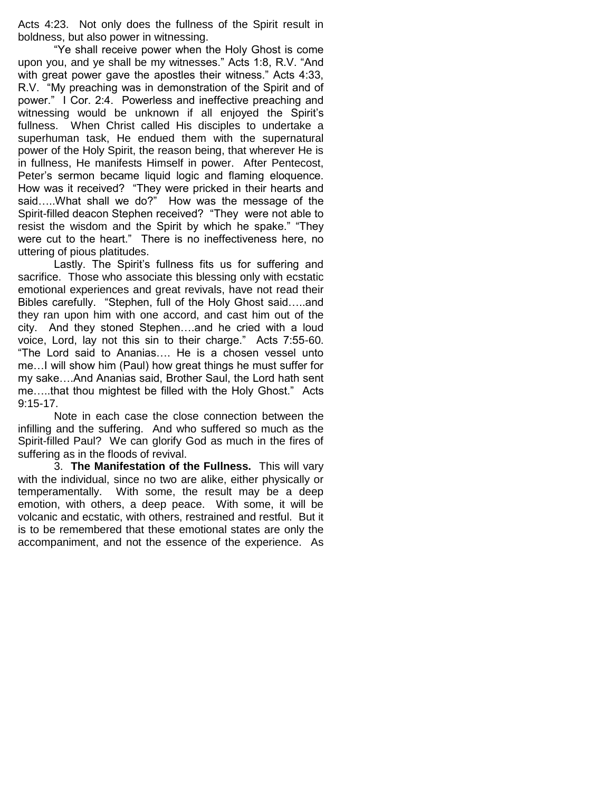Acts 4:23. Not only does the fullness of the Spirit result in boldness, but also power in witnessing.

"Ye shall receive power when the Holy Ghost is come upon you, and ye shall be my witnesses." Acts 1:8, R.V. "And with great power gave the apostles their witness." Acts 4:33, R.V. "My preaching was in demonstration of the Spirit and of power." I Cor. 2:4. Powerless and ineffective preaching and witnessing would be unknown if all enjoyed the Spirit's fullness. When Christ called His disciples to undertake a superhuman task, He endued them with the supernatural power of the Holy Spirit, the reason being, that wherever He is in fullness, He manifests Himself in power. After Pentecost, Peter's sermon became liquid logic and flaming eloquence. How was it received? "They were pricked in their hearts and said…..What shall we do?" How was the message of the Spirit-filled deacon Stephen received? "They were not able to resist the wisdom and the Spirit by which he spake." "They were cut to the heart." There is no ineffectiveness here, no uttering of pious platitudes.

Lastly. The Spirit's fullness fits us for suffering and sacrifice. Those who associate this blessing only with ecstatic emotional experiences and great revivals, have not read their Bibles carefully. "Stephen, full of the Holy Ghost said…..and they ran upon him with one accord, and cast him out of the city. And they stoned Stephen….and he cried with a loud voice, Lord, lay not this sin to their charge." Acts 7:55-60. "The Lord said to Ananias…. He is a chosen vessel unto me…I will show him (Paul) how great things he must suffer for my sake….And Ananias said, Brother Saul, the Lord hath sent me…..that thou mightest be filled with the Holy Ghost." Acts 9:15-17.

Note in each case the close connection between the infilling and the suffering. And who suffered so much as the Spirit-filled Paul? We can glorify God as much in the fires of suffering as in the floods of revival.

3. **The Manifestation of the Fullness.** This will vary with the individual, since no two are alike, either physically or temperamentally. With some, the result may be a deep emotion, with others, a deep peace. With some, it will be volcanic and ecstatic, with others, restrained and restful. But it is to be remembered that these emotional states are only the accompaniment, and not the essence of the experience. As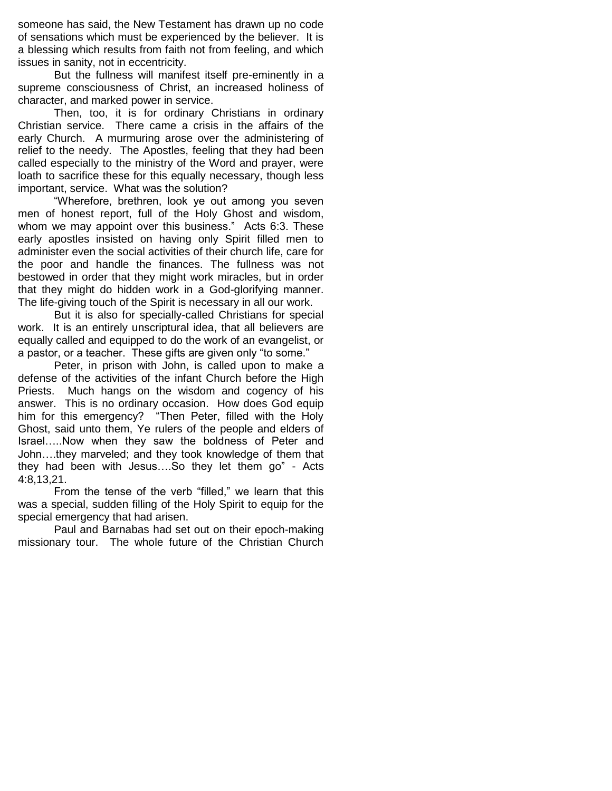someone has said, the New Testament has drawn up no code of sensations which must be experienced by the believer. It is a blessing which results from faith not from feeling, and which issues in sanity, not in eccentricity.

But the fullness will manifest itself pre-eminently in a supreme consciousness of Christ, an increased holiness of character, and marked power in service.

Then, too, it is for ordinary Christians in ordinary Christian service. There came a crisis in the affairs of the early Church. A murmuring arose over the administering of relief to the needy. The Apostles, feeling that they had been called especially to the ministry of the Word and prayer, were loath to sacrifice these for this equally necessary, though less important, service. What was the solution?

"Wherefore, brethren, look ye out among you seven men of honest report, full of the Holy Ghost and wisdom, whom we may appoint over this business." Acts 6:3. These early apostles insisted on having only Spirit filled men to administer even the social activities of their church life, care for the poor and handle the finances. The fullness was not bestowed in order that they might work miracles, but in order that they might do hidden work in a God-glorifying manner. The life-giving touch of the Spirit is necessary in all our work.

But it is also for specially-called Christians for special work. It is an entirely unscriptural idea, that all believers are equally called and equipped to do the work of an evangelist, or a pastor, or a teacher. These gifts are given only "to some."

Peter, in prison with John, is called upon to make a defense of the activities of the infant Church before the High Priests. Much hangs on the wisdom and cogency of his answer. This is no ordinary occasion. How does God equip him for this emergency? "Then Peter, filled with the Holy Ghost, said unto them, Ye rulers of the people and elders of Israel…..Now when they saw the boldness of Peter and John….they marveled; and they took knowledge of them that they had been with Jesus….So they let them go" - Acts 4:8,13,21.

From the tense of the verb "filled," we learn that this was a special, sudden filling of the Holy Spirit to equip for the special emergency that had arisen.

Paul and Barnabas had set out on their epoch-making missionary tour. The whole future of the Christian Church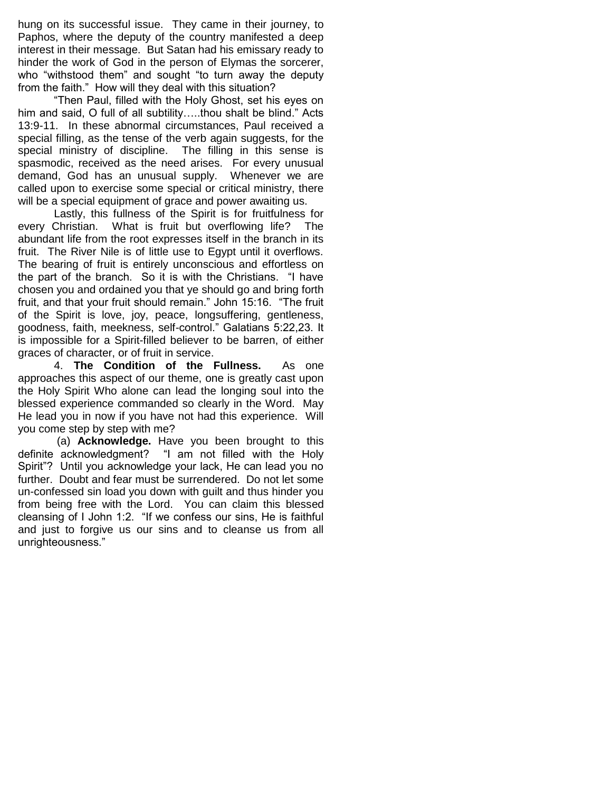hung on its successful issue. They came in their journey, to Paphos, where the deputy of the country manifested a deep interest in their message. But Satan had his emissary ready to hinder the work of God in the person of Elymas the sorcerer, who "withstood them" and sought "to turn away the deputy from the faith." How will they deal with this situation?

"Then Paul, filled with the Holy Ghost, set his eyes on him and said, O full of all subtility…..thou shalt be blind." Acts 13:9-11. In these abnormal circumstances, Paul received a special filling, as the tense of the verb again suggests, for the special ministry of discipline. The filling in this sense is spasmodic, received as the need arises. For every unusual demand, God has an unusual supply. Whenever we are called upon to exercise some special or critical ministry, there will be a special equipment of grace and power awaiting us.

Lastly, this fullness of the Spirit is for fruitfulness for every Christian. What is fruit but overflowing life? The abundant life from the root expresses itself in the branch in its fruit. The River Nile is of little use to Egypt until it overflows. The bearing of fruit is entirely unconscious and effortless on the part of the branch. So it is with the Christians. "I have chosen you and ordained you that ye should go and bring forth fruit, and that your fruit should remain." John 15:16. "The fruit of the Spirit is love, joy, peace, longsuffering, gentleness, goodness, faith, meekness, self-control." Galatians 5:22,23. It is impossible for a Spirit-filled believer to be barren, of either graces of character, or of fruit in service.

4. **The Condition of the Fullness.** As one approaches this aspect of our theme, one is greatly cast upon the Holy Spirit Who alone can lead the longing soul into the blessed experience commanded so clearly in the Word. May He lead you in now if you have not had this experience. Will you come step by step with me?

(a) **Acknowledge.** Have you been brought to this definite acknowledgment? "I am not filled with the Holy Spirit"? Until you acknowledge your lack, He can lead you no further. Doubt and fear must be surrendered. Do not let some un-confessed sin load you down with guilt and thus hinder you from being free with the Lord. You can claim this blessed cleansing of I John 1:2. "If we confess our sins, He is faithful and just to forgive us our sins and to cleanse us from all unrighteousness."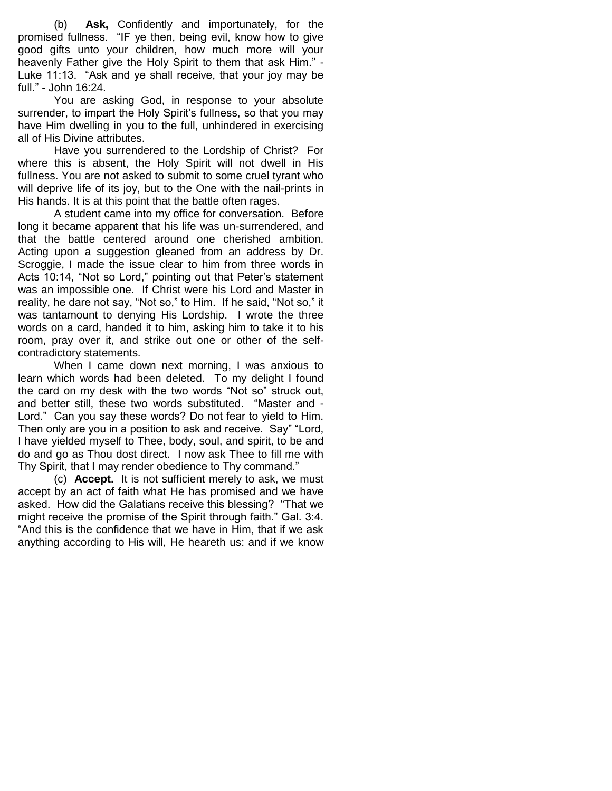(b) **Ask,** Confidently and importunately, for the promised fullness. "IF ye then, being evil, know how to give good gifts unto your children, how much more will your heavenly Father give the Holy Spirit to them that ask Him." - Luke 11:13. "Ask and ye shall receive, that your joy may be full." - John 16:24.

You are asking God, in response to your absolute surrender, to impart the Holy Spirit's fullness, so that you may have Him dwelling in you to the full, unhindered in exercising all of His Divine attributes.

Have you surrendered to the Lordship of Christ? For where this is absent, the Holy Spirit will not dwell in His fullness. You are not asked to submit to some cruel tyrant who will deprive life of its joy, but to the One with the nail-prints in His hands. It is at this point that the battle often rages.

A student came into my office for conversation. Before long it became apparent that his life was un-surrendered, and that the battle centered around one cherished ambition. Acting upon a suggestion gleaned from an address by Dr. Scroggie, I made the issue clear to him from three words in Acts 10:14, "Not so Lord," pointing out that Peter"s statement was an impossible one. If Christ were his Lord and Master in reality, he dare not say, "Not so," to Him. If he said, "Not so," it was tantamount to denying His Lordship. I wrote the three words on a card, handed it to him, asking him to take it to his room, pray over it, and strike out one or other of the selfcontradictory statements.

When I came down next morning, I was anxious to learn which words had been deleted. To my delight I found the card on my desk with the two words "Not so" struck out, and better still, these two words substituted. "Master and - Lord." Can you say these words? Do not fear to yield to Him. Then only are you in a position to ask and receive. Say" "Lord, I have yielded myself to Thee, body, soul, and spirit, to be and do and go as Thou dost direct. I now ask Thee to fill me with Thy Spirit, that I may render obedience to Thy command."

(c) **Accept.** It is not sufficient merely to ask, we must accept by an act of faith what He has promised and we have asked. How did the Galatians receive this blessing? "That we might receive the promise of the Spirit through faith." Gal. 3:4. "And this is the confidence that we have in Him, that if we ask anything according to His will, He heareth us: and if we know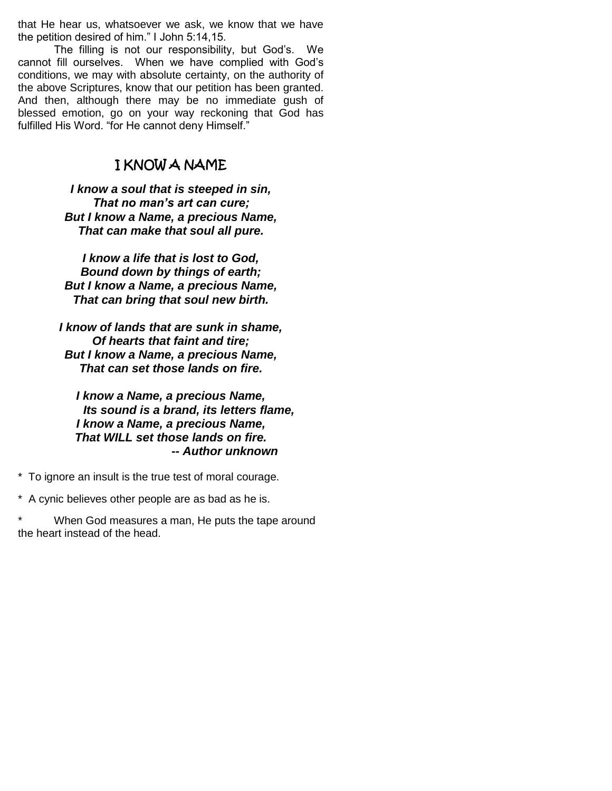that He hear us, whatsoever we ask, we know that we have the petition desired of him." I John 5:14,15.

The filling is not our responsibility, but God's. We cannot fill ourselves. When we have complied with God"s conditions, we may with absolute certainty, on the authority of the above Scriptures, know that our petition has been granted. And then, although there may be no immediate gush of blessed emotion, go on your way reckoning that God has fulfilled His Word. "for He cannot deny Himself."

# I KNOW A NAME

*I know a soul that is steeped in sin, That no man's art can cure; But I know a Name, a precious Name, That can make that soul all pure.*

*I know a life that is lost to God, Bound down by things of earth; But I know a Name, a precious Name, That can bring that soul new birth.*

*I know of lands that are sunk in shame, Of hearts that faint and tire; But I know a Name, a precious Name, That can set those lands on fire.*

*I know a Name, a precious Name, Its sound is a brand, its letters flame, I know a Name, a precious Name, That WILL set those lands on fire. -- Author unknown*

- \* To ignore an insult is the true test of moral courage.
- \* A cynic believes other people are as bad as he is.
- When God measures a man, He puts the tape around the heart instead of the head.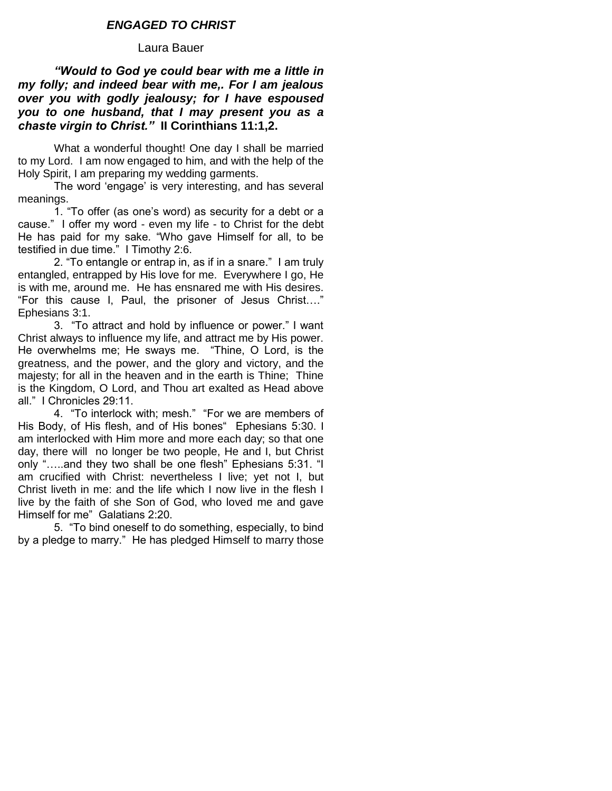#### *ENGAGED TO CHRIST*

#### Laura Bauer

*"Would to God ye could bear with me a little in my folly; and indeed bear with me,. For I am jealous over you with godly jealousy; for I have espoused you to one husband, that I may present you as a chaste virgin to Christ."* **II Corinthians 11:1,2.**

What a wonderful thought! One day I shall be married to my Lord. I am now engaged to him, and with the help of the Holy Spirit, I am preparing my wedding garments.

The word "engage" is very interesting, and has several meanings.

1. "To offer (as one"s word) as security for a debt or a cause." I offer my word - even my life - to Christ for the debt He has paid for my sake. "Who gave Himself for all, to be testified in due time." I Timothy 2:6.

2. "To entangle or entrap in, as if in a snare." I am truly entangled, entrapped by His love for me. Everywhere I go, He is with me, around me. He has ensnared me with His desires. "For this cause I, Paul, the prisoner of Jesus Christ…." Ephesians 3:1.

3. "To attract and hold by influence or power." I want Christ always to influence my life, and attract me by His power. He overwhelms me; He sways me. "Thine, O Lord, is the greatness, and the power, and the glory and victory, and the majesty; for all in the heaven and in the earth is Thine; Thine is the Kingdom, O Lord, and Thou art exalted as Head above all." I Chronicles 29:11.

4. "To interlock with; mesh." "For we are members of His Body, of His flesh, and of His bones" Ephesians 5:30. I am interlocked with Him more and more each day; so that one day, there will no longer be two people, He and I, but Christ only "…..and they two shall be one flesh" Ephesians 5:31. "I am crucified with Christ: nevertheless I live; yet not I, but Christ liveth in me: and the life which I now live in the flesh I live by the faith of she Son of God, who loved me and gave Himself for me" Galatians 2:20.

5. "To bind oneself to do something, especially, to bind by a pledge to marry." He has pledged Himself to marry those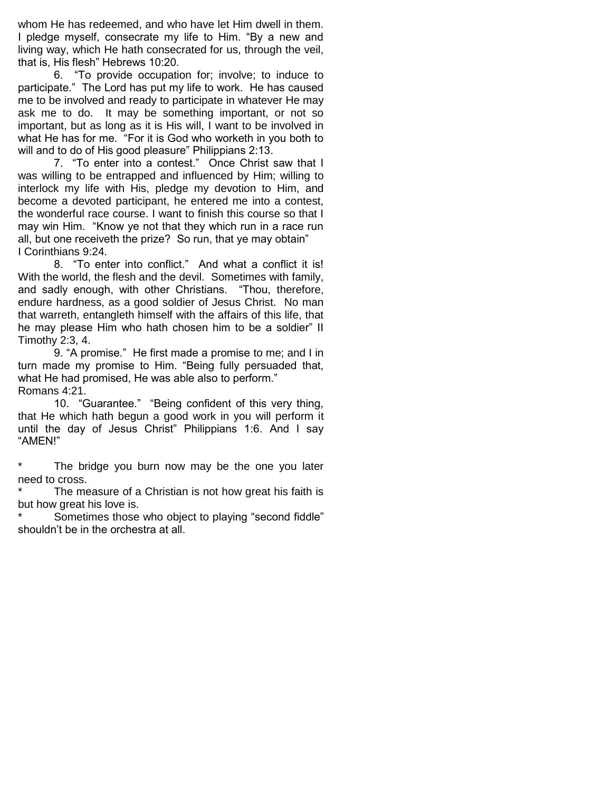whom He has redeemed, and who have let Him dwell in them. I pledge myself, consecrate my life to Him. "By a new and living way, which He hath consecrated for us, through the veil, that is, His flesh" Hebrews 10:20.

6. "To provide occupation for; involve; to induce to participate." The Lord has put my life to work. He has caused me to be involved and ready to participate in whatever He may ask me to do. It may be something important, or not so important, but as long as it is His will, I want to be involved in what He has for me. "For it is God who worketh in you both to will and to do of His good pleasure" Philippians 2:13.

7. "To enter into a contest." Once Christ saw that I was willing to be entrapped and influenced by Him; willing to interlock my life with His, pledge my devotion to Him, and become a devoted participant, he entered me into a contest, the wonderful race course. I want to finish this course so that I may win Him. "Know ye not that they which run in a race run all, but one receiveth the prize? So run, that ye may obtain" I Corinthians 9:24.

8. "To enter into conflict." And what a conflict it is! With the world, the flesh and the devil. Sometimes with family, and sadly enough, with other Christians. "Thou, therefore, endure hardness, as a good soldier of Jesus Christ. No man that warreth, entangleth himself with the affairs of this life, that he may please Him who hath chosen him to be a soldier" II Timothy 2:3, 4.

9. "A promise." He first made a promise to me; and I in turn made my promise to Him. "Being fully persuaded that, what He had promised, He was able also to perform." Romans 4:21.

10. "Guarantee." "Being confident of this very thing, that He which hath begun a good work in you will perform it until the day of Jesus Christ" Philippians 1:6. And I say "AMEN!"

The bridge you burn now may be the one you later need to cross.

The measure of a Christian is not how great his faith is but how great his love is.

Sometimes those who object to playing "second fiddle" shouldn"t be in the orchestra at all.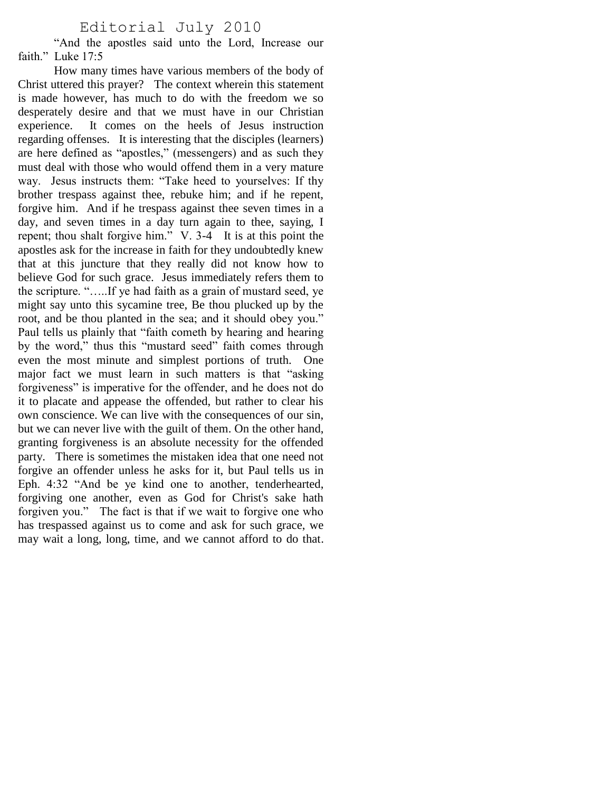## Editorial July 2010

"And the apostles said unto the Lord, Increase our faith." Luke 17:5

How many times have various members of the body of Christ uttered this prayer? The context wherein this statement is made however, has much to do with the freedom we so desperately desire and that we must have in our Christian experience. It comes on the heels of Jesus instruction regarding offenses. It is interesting that the disciples (learners) are here defined as "apostles," (messengers) and as such they must deal with those who would offend them in a very mature way. Jesus instructs them: "Take heed to yourselves: If thy brother trespass against thee, rebuke him; and if he repent, forgive him. And if he trespass against thee seven times in a day, and seven times in a day turn again to thee, saying, I repent; thou shalt forgive him." V. 3-4 It is at this point the apostles ask for the increase in faith for they undoubtedly knew that at this juncture that they really did not know how to believe God for such grace. Jesus immediately refers them to the scripture. "…..If ye had faith as a grain of mustard seed, ye might say unto this sycamine tree, Be thou plucked up by the root, and be thou planted in the sea; and it should obey you." Paul tells us plainly that "faith cometh by hearing and hearing by the word," thus this "mustard seed" faith comes through even the most minute and simplest portions of truth. One major fact we must learn in such matters is that "asking forgiveness" is imperative for the offender, and he does not do it to placate and appease the offended, but rather to clear his own conscience. We can live with the consequences of our sin, but we can never live with the guilt of them. On the other hand, granting forgiveness is an absolute necessity for the offended party. There is sometimes the mistaken idea that one need not forgive an offender unless he asks for it, but Paul tells us in Eph. 4:32 "And be ye kind one to another, tenderhearted, forgiving one another, even as God for Christ's sake hath forgiven you." The fact is that if we wait to forgive one who has trespassed against us to come and ask for such grace, we may wait a long, long, time, and we cannot afford to do that.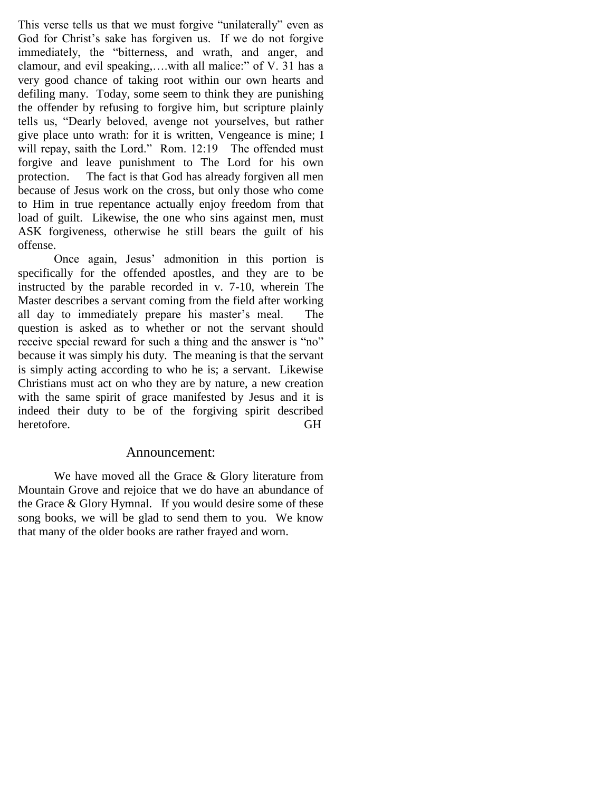This verse tells us that we must forgive "unilaterally" even as God for Christ's sake has forgiven us. If we do not forgive immediately, the "bitterness, and wrath, and anger, and clamour, and evil speaking,….with all malice:" of V. 31 has a very good chance of taking root within our own hearts and defiling many. Today, some seem to think they are punishing the offender by refusing to forgive him, but scripture plainly tells us, "Dearly beloved, avenge not yourselves, but rather give place unto wrath: for it is written, Vengeance is mine; I will repay, saith the Lord." Rom. 12:19 The offended must forgive and leave punishment to The Lord for his own protection. The fact is that God has already forgiven all men because of Jesus work on the cross, but only those who come to Him in true repentance actually enjoy freedom from that load of guilt. Likewise, the one who sins against men, must ASK forgiveness, otherwise he still bears the guilt of his offense.

Once again, Jesus" admonition in this portion is specifically for the offended apostles, and they are to be instructed by the parable recorded in v. 7-10, wherein The Master describes a servant coming from the field after working all day to immediately prepare his master's meal. The question is asked as to whether or not the servant should receive special reward for such a thing and the answer is "no" because it was simply his duty. The meaning is that the servant is simply acting according to who he is; a servant. Likewise Christians must act on who they are by nature, a new creation with the same spirit of grace manifested by Jesus and it is indeed their duty to be of the forgiving spirit described heretofore. GH

#### Announcement:

We have moved all the Grace & Glory literature from Mountain Grove and rejoice that we do have an abundance of the Grace & Glory Hymnal. If you would desire some of these song books, we will be glad to send them to you. We know that many of the older books are rather frayed and worn.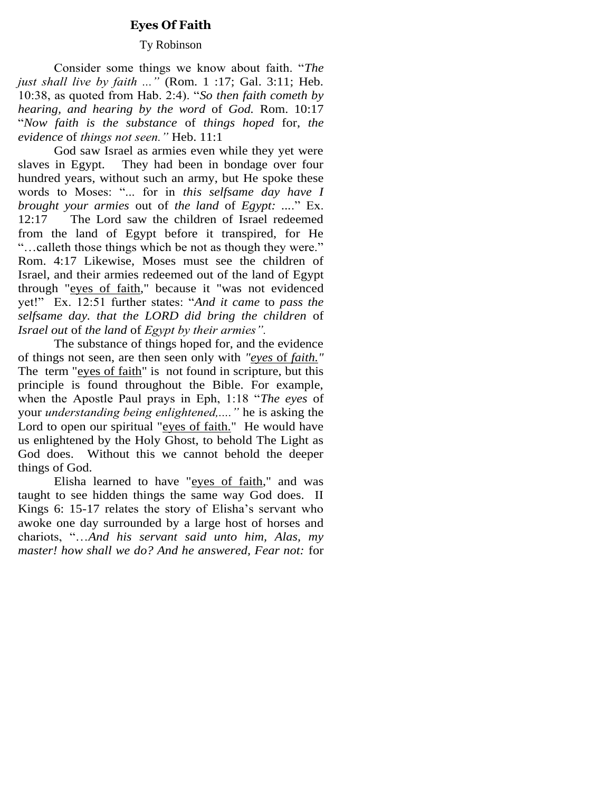## **Eyes Of Faith**

#### Ty Robinson

Consider some things we know about faith. "*The just shall live by faith ..."* (Rom. 1 :17; Gal. 3:11; Heb. 10:38, as quoted from Hab. 2:4). "*So then faith cometh by hearing, and hearing by the word* of *God.* Rom. 10:17 "*Now faith is the substance* of *things hoped* for, *the evidence* of *things not seen."* Heb. 11:1

God saw Israel as armies even while they yet were slaves in Egypt. They had been in bondage over four hundred years, without such an army, but He spoke these words to Moses: "... for in *this selfsame day have I brought your armies* out of *the land* of *Egypt: ...*." Ex. 12:17 The Lord saw the children of Israel redeemed from the land of Egypt before it transpired, for He "…calleth those things which be not as though they were." Rom. 4:17 Likewise, Moses must see the children of Israel, and their armies redeemed out of the land of Egypt through "eyes of faith," because it "was not evidenced yet!" Ex. 12:51 further states: "*And it came* to *pass the selfsame day. that the LORD did bring the children* of *Israel out* of *the land* of *Egypt by their armies".* 

The substance of things hoped for, and the evidence of things not seen, are then seen only with *"eyes* of *faith."* The term "eyes of faith" is not found in scripture, but this principle is found throughout the Bible. For example, when the Apostle Paul prays in Eph, 1:18 "*The eyes* of your *understanding being enlightened,...."* he is asking the Lord to open our spiritual "eyes of faith." He would have us enlightened by the Holy Ghost, to behold The Light as God does. Without this we cannot behold the deeper things of God.

Elisha learned to have "eyes of faith," and was taught to see hidden things the same way God does. II Kings 6: 15-17 relates the story of Elisha's servant who awoke one day surrounded by a large host of horses and chariots, "…*And his servant said unto him, Alas, my master! how shall we do? And he answered, Fear not:* for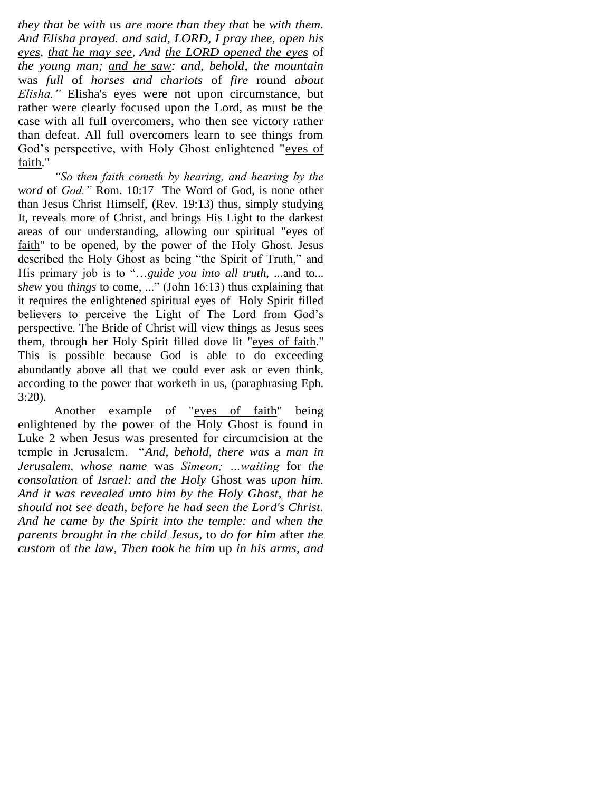*they that be with* us *are more than they that* be *with them. And Elisha prayed. and said, LORD, I pray thee, open his eyes, that he may see, And the LORD opened the eyes* of *the young man; and he saw: and, behold, the mountain*  was *full* of *horses and chariots* of *fire* round *about Elisha."* Elisha's eyes were not upon circumstance, but rather were clearly focused upon the Lord, as must be the case with all full overcomers, who then see victory rather than defeat. All full overcomers learn to see things from God"s perspective, with Holy Ghost enlightened "eyes of faith."

*"So then faith cometh by hearing, and hearing by the word* of *God."* Rom. 10:17 The Word of God, is none other than Jesus Christ Himself, (Rev. 19:13) thus, simply studying It, reveals more of Christ, and brings His Light to the darkest areas of our understanding, allowing our spiritual "eyes of faith" to be opened, by the power of the Holy Ghost. Jesus described the Holy Ghost as being "the Spirit of Truth," and His primary job is to "…*guide you into all truth, ...*and to*... shew* you *things* to come, ..." (John 16:13) thus explaining that it requires the enlightened spiritual eyes of Holy Spirit filled believers to perceive the Light of The Lord from God's perspective. The Bride of Christ will view things as Jesus sees them, through her Holy Spirit filled dove lit "eyes of faith." This is possible because God is able to do exceeding abundantly above all that we could ever ask or even think, according to the power that worketh in us, (paraphrasing Eph. 3:20).

Another example of "eyes of faith" being enlightened by the power of the Holy Ghost is found in Luke 2 when Jesus was presented for circumcision at the temple in Jerusalem. "*And, behold, there was* a *man in Jerusalem, whose name* was *Simeon; …waiting* for *the consolation* of *Israel: and the Holy* Ghost was *upon him. And it was revealed unto him by the Holy Ghost, that he should not see death, before he had seen the Lord's Christ. And he came by the Spirit into the temple: and when the parents brought in the child Jesus,* to *do for him* after *the custom* of *the law, Then took he him* up *in his arms, and*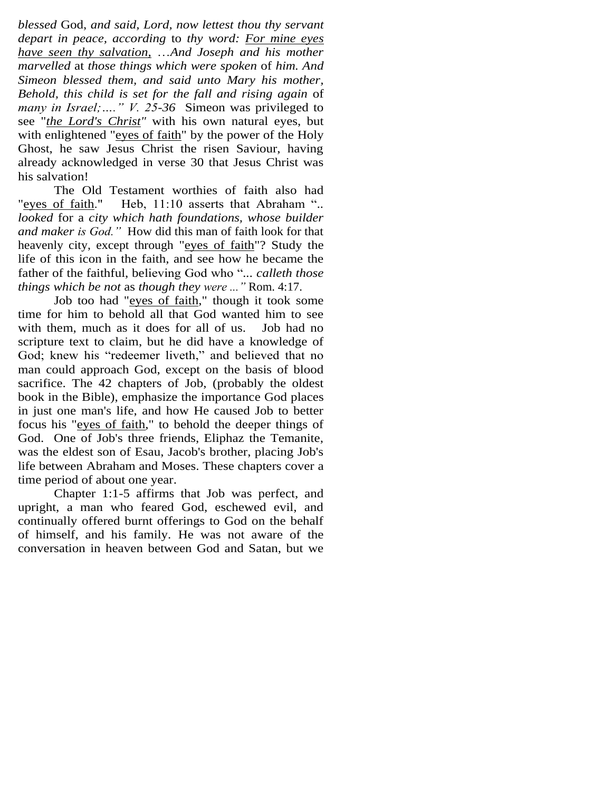*blessed* God, *and said, Lord, now lettest thou thy servant depart in peace, according* to *thy word: For mine eyes have seen thy salvation,* …*And Joseph and his mother marvelled* at *those things which were spoken* of *him. And Simeon blessed them, and said unto Mary his mother, Behold, this child is set for the fall and rising again* of *many in Israel;…." V. 25-36* Simeon was privileged to see "*the Lord's Christ"* with his own natural eyes, but with enlightened "eyes of faith" by the power of the Holy Ghost, he saw Jesus Christ the risen Saviour, having already acknowledged in verse 30 that Jesus Christ was his salvation!

The Old Testament worthies of faith also had "eyes of faith." Heb, 11:10 asserts that Abraham "*.. looked* for a *city which hath foundations, whose builder and maker is God."* How did this man of faith look for that heavenly city, except through "eyes of faith"? Study the life of this icon in the faith, and see how he became the father of the faithful, believing God who "*... calleth those things which be not* as *though they were ..."* Rom. 4:17.

Job too had "eyes of faith," though it took some time for him to behold all that God wanted him to see with them, much as it does for all of us. Job had no scripture text to claim, but he did have a knowledge of God; knew his "redeemer liveth," and believed that no man could approach God, except on the basis of blood sacrifice. The 42 chapters of Job, (probably the oldest book in the Bible), emphasize the importance God places in just one man's life, and how He caused Job to better focus his "eyes of faith," to behold the deeper things of God. One of Job's three friends, Eliphaz the Temanite, was the eldest son of Esau, Jacob's brother, placing Job's life between Abraham and Moses. These chapters cover a time period of about one year.

Chapter 1:1-5 affirms that Job was perfect, and upright, a man who feared God, eschewed evil, and continually offered burnt offerings to God on the behalf of himself, and his family. He was not aware of the conversation in heaven between God and Satan, but we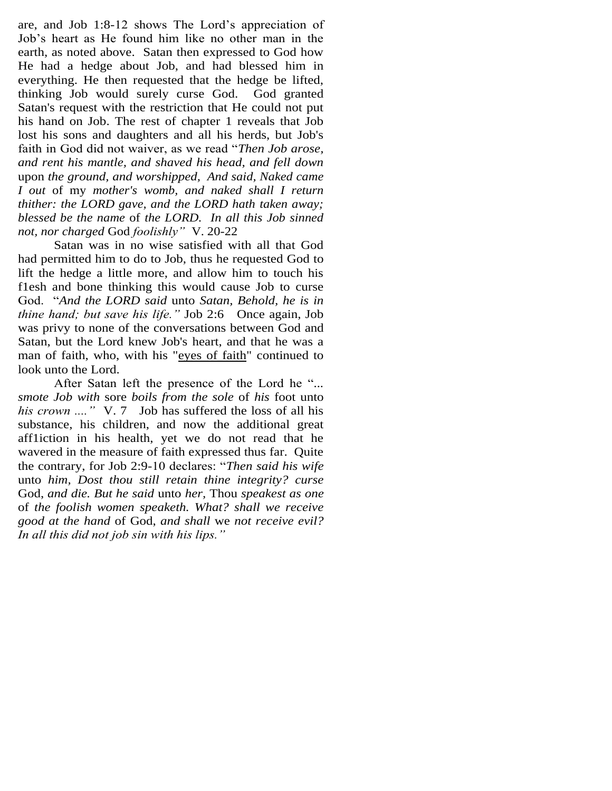are, and Job 1:8-12 shows The Lord"s appreciation of Job"s heart as He found him like no other man in the earth, as noted above. Satan then expressed to God how He had a hedge about Job, and had blessed him in everything. He then requested that the hedge be lifted, thinking Job would surely curse God. God granted Satan's request with the restriction that He could not put his hand on Job. The rest of chapter 1 reveals that Job lost his sons and daughters and all his herds, but Job's faith in God did not waiver, as we read "*Then Job arose, and rent his mantle, and shaved his head, and fell down*  upon *the ground, and worshipped, And said, Naked came I out* of my *mother's womb, and naked shall I return thither: the LORD gave, and the LORD hath taken away; blessed be the name* of *the LORD. In all this Job sinned not, nor charged* God *foolishly"* V. 20-22

Satan was in no wise satisfied with all that God had permitted him to do to Job, thus he requested God to lift the hedge a little more, and allow him to touch his f1esh and bone thinking this would cause Job to curse God. "*And the LORD said* unto *Satan, Behold, he is in thine hand; but save his life."* Job 2:6 Once again, Job was privy to none of the conversations between God and Satan, but the Lord knew Job's heart, and that he was a man of faith, who, with his "eyes of faith" continued to look unto the Lord.

After Satan left the presence of the Lord he "*... smote Job with* sore *boils from the sole* of *his* foot unto *his crown ...."* V. 7 Job has suffered the loss of all his substance, his children, and now the additional great aff1iction in his health, yet we do not read that he wavered in the measure of faith expressed thus far. Quite the contrary, for Job 2:9-10 declares: "*Then said his wife*  unto *him, Dost thou still retain thine integrity? curse*  God, *and die. But he said* unto *her,* Thou *speakest as one*  of *the foolish women speaketh. What? shall we receive good at the hand* of God, *and shall* we *not receive evil? In all this did not job sin with his lips."*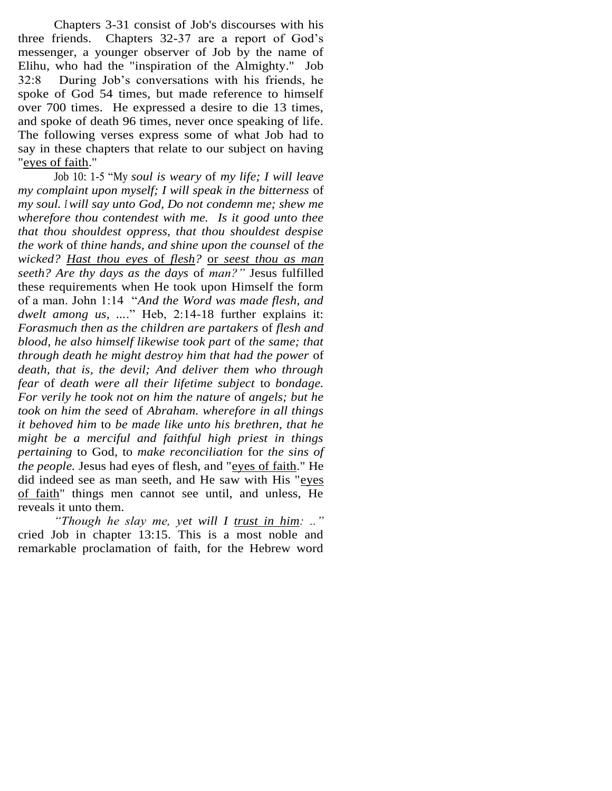Chapters 3-31 consist of Job's discourses with his three friends. Chapters 32-37 are a report of God"s messenger, a younger observer of Job by the name of Elihu, who had the "inspiration of the Almighty." Job 32:8 During Job"s conversations with his friends, he spoke of God 54 times, but made reference to himself over 700 times. He expressed a desire to die 13 times, and spoke of death 96 times, never once speaking of life. The following verses express some of what Job had to say in these chapters that relate to our subject on having "eyes of faith."

Job 10: 1-5 "My *soul is weary* of *my life; I will leave my complaint upon myself; I will speak in the bitterness* of *my soul. I will say unto God, Do not condemn me; shew me wherefore thou contendest with me. Is it good unto thee that thou shouldest oppress, that thou shouldest despise the work* of *thine hands, and shine upon the counsel* of *the wicked? Hast thou eyes* of *flesh?* or *seest thou as man seeth? Are thy days as the days* of *man?"* Jesus fulfilled these requirements when He took upon Himself the form of a man. John 1:14 "*And the Word was made flesh, and dwelt among us, ...*." Heb, 2:14-18 further explains it: *Forasmuch then as the children are partakers* of *flesh and blood, he also himself likewise took part* of *the same; that through death he might destroy him that had the power* of *death, that is, the devil; And deliver them who through fear* of *death were all their lifetime subject* to *bondage. For verily he took not on him the nature* of *angels; but he took on him the seed* of *Abraham. wherefore in all things it behoved him* to *be made like unto his brethren, that he might be a merciful and faithful high priest in things pertaining* to God, to *make reconciliation* for *the sins of the people.* Jesus had eyes of flesh, and "eyes of faith." He did indeed see as man seeth, and He saw with His "eyes of faith" things men cannot see until, and unless, He reveals it unto them.

*"Though he slay me, yet will I trust in him: .."*  cried Job in chapter 13:15. This is a most noble and remarkable proclamation of faith, for the Hebrew word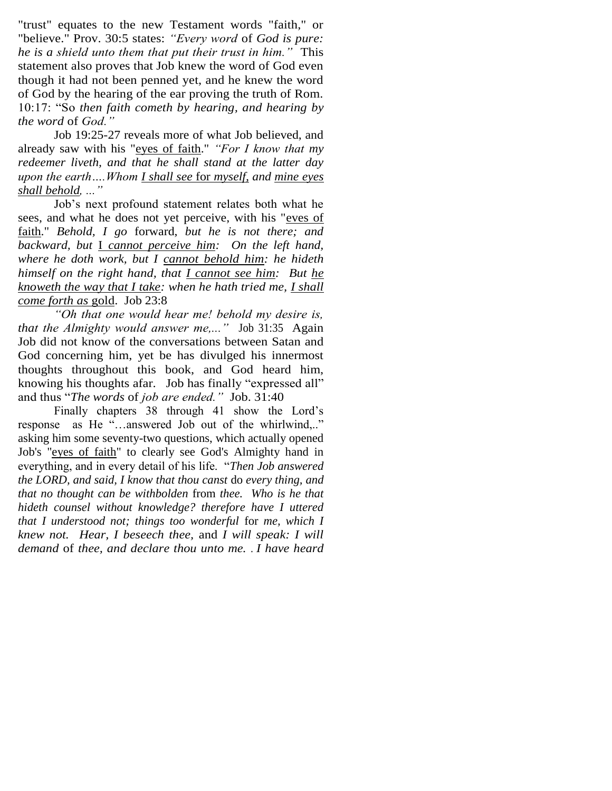"trust" equates to the new Testament words "faith," or "believe." Prov. 30:5 states: *"Every word* of *God is pure: he is a shield unto them that put their trust in him."* This statement also proves that Job knew the word of God even though it had not been penned yet, and he knew the word of God by the hearing of the ear proving the truth of Rom. 10:17: "So *then faith cometh by hearing, and hearing by the word* of *God."* 

Job 19:25-27 reveals more of what Job believed, and already saw with his "eyes of faith." *"For I know that my redeemer liveth, and that he shall stand at the latter day upon the earth….Whom I shall see* for *myself, and mine eyes shall behold, ..."* 

Job"s next profound statement relates both what he sees, and what he does not yet perceive, with his "eves of faith." *Behold, I go* forward, *but he is not there; and backward, but* I *cannot perceive him: On the left hand, where he doth work, but I cannot behold him: he hideth himself on the right hand, that I cannot see him: But he knoweth the way that I take: when he hath tried me, I shall come forth as* gold. Job 23:8

*"Oh that one would hear me! behold my desire is, that the Almighty would answer me,..."* Job 31:35 Again Job did not know of the conversations between Satan and God concerning him, yet be has divulged his innermost thoughts throughout this book, and God heard him, knowing his thoughts afar. Job has finally "expressed all" and thus "*The words* of *job are ended."* Job. 31:40

Finally chapters 38 through 41 show the Lord's response as He "…answered Job out of the whirlwind,.." asking him some seventy-two questions, which actually opened Job's "eyes of faith" to clearly see God's Almighty hand in everything, and in every detail of his life. "*Then Job answered the LORD, and said, I know that thou canst* do *every thing, and that no thought can be withbolden* from *thee. Who is he that hideth counsel without knowledge? therefore have I uttered that I understood not; things too wonderful* for *me, which I knew not. Hear, I beseech thee,* and *I will speak: I will demand* of *thee, and declare thou unto me.* . *I have heard*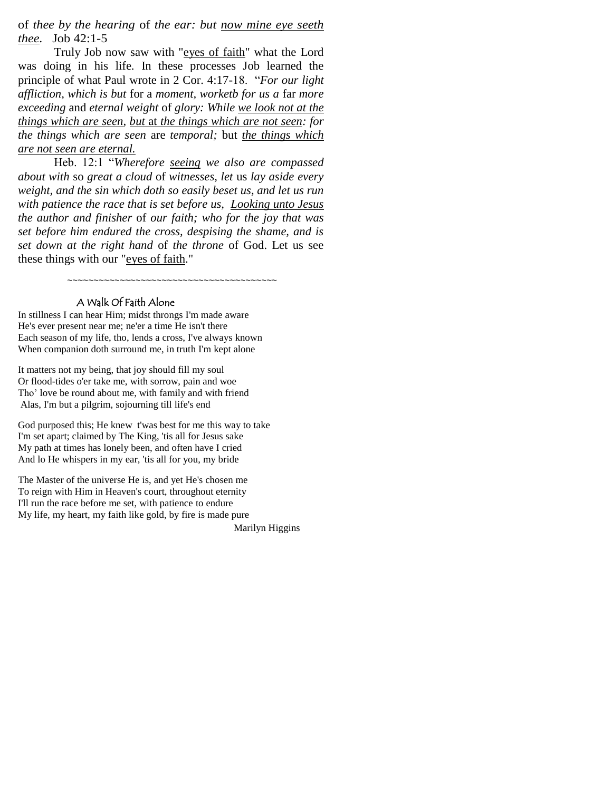of *thee by the hearing* of *the ear: but now mine eye seeth thee.* Job 42:1-5

Truly Job now saw with "eyes of faith" what the Lord was doing in his life. In these processes Job learned the principle of what Paul wrote in 2 Cor. 4:17-18. "*For our light affliction, which is but* for a *moment, worketb for us a* far *more exceeding* and *eternal weight* of *glory: While we look not at the things which are seen, but* at *the things which are not seen: for the things which are seen* are *temporal;* but *the things which are not seen are eternal.* 

Heb. 12:1 "*Wherefore seeing we also are compassed about with* so *great a cloud* of *witnesses, let* us *lay aside every weight, and the sin which doth so easily beset us, and let us run with patience the race that is set before us, Looking unto Jesus the author and finisher* of *our faith; who for the joy that was set before him endured the cross, despising the shame, and is set down at the right hand* of *the throne* of God. Let us see these things with our "eyes of faith."

~~~~~~~~~~~~~~~~~~~~~~~~~~~~~~~~~~~~~~

### A Walk Of Faith Alone

In stillness I can hear Him; midst throngs I'm made aware He's ever present near me; ne'er a time He isn't there Each season of my life, tho, lends a cross, I've always known When companion doth surround me, in truth I'm kept alone

It matters not my being, that joy should fill my soul Or flood-tides o'er take me, with sorrow, pain and woe Tho" love be round about me, with family and with friend Alas, I'm but a pilgrim, sojourning till life's end

God purposed this; He knew t'was best for me this way to take I'm set apart; claimed by The King, 'tis all for Jesus sake My path at times has lonely been, and often have I cried And lo He whispers in my ear, 'tis all for you, my bride

The Master of the universe He is, and yet He's chosen me To reign with Him in Heaven's court, throughout eternity I'll run the race before me set, with patience to endure My life, my heart, my faith like gold, by fire is made pure

Marilyn Higgins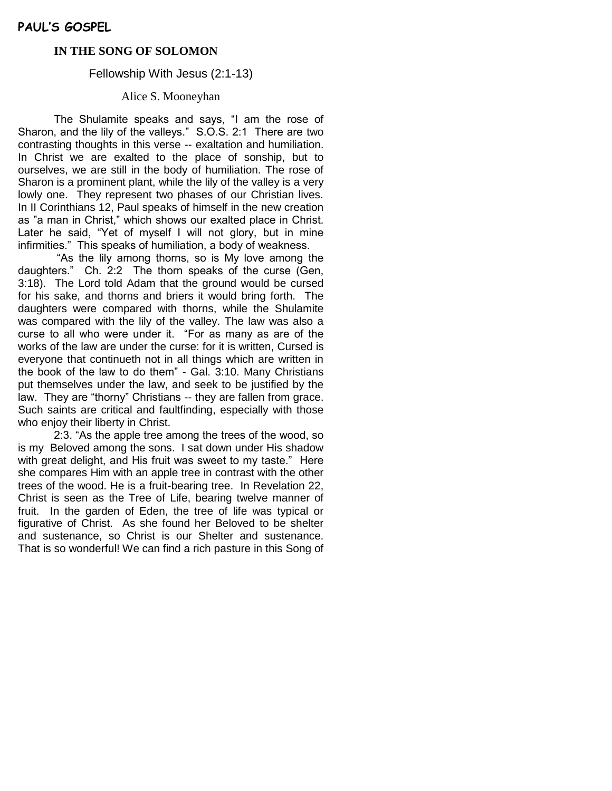## **IN THE SONG OF SOLOMON**

#### Fellowship With Jesus (2:1-13)

#### Alice S. Mooneyhan

The Shulamite speaks and says, "I am the rose of Sharon, and the lily of the valleys." S.O.S. 2:1 There are two contrasting thoughts in this verse -- exaltation and humiliation. In Christ we are exalted to the place of sonship, but to ourselves, we are still in the body of humiliation. The rose of Sharon is a prominent plant, while the lily of the valley is a very lowly one. They represent two phases of our Christian lives. In II Corinthians 12, Paul speaks of himself in the new creation as "a man in Christ," which shows our exalted place in Christ. Later he said, "Yet of myself I will not glory, but in mine infirmities." This speaks of humiliation, a body of weakness.

"As the lily among thorns, so is My love among the daughters." Ch. 2:2 The thorn speaks of the curse (Gen, 3:18). The Lord told Adam that the ground would be cursed for his sake, and thorns and briers it would bring forth. The daughters were compared with thorns, while the Shulamite was compared with the lily of the valley. The law was also a curse to all who were under it. "For as many as are of the works of the law are under the curse: for it is written, Cursed is everyone that continueth not in all things which are written in the book of the law to do them" - Gal. 3:10. Many Christians put themselves under the law, and seek to be justified by the law. They are "thorny" Christians -- they are fallen from grace. Such saints are critical and faultfinding, especially with those who enjoy their liberty in Christ.

2:3. "As the apple tree among the trees of the wood, so is my Beloved among the sons. I sat down under His shadow with great delight, and His fruit was sweet to my taste." Here she compares Him with an apple tree in contrast with the other trees of the wood. He is a fruit-bearing tree. In Revelation 22, Christ is seen as the Tree of Life, bearing twelve manner of fruit. In the garden of Eden, the tree of life was typical or figurative of Christ. As she found her Beloved to be shelter and sustenance, so Christ is our Shelter and sustenance. That is so wonderful! We can find a rich pasture in this Song of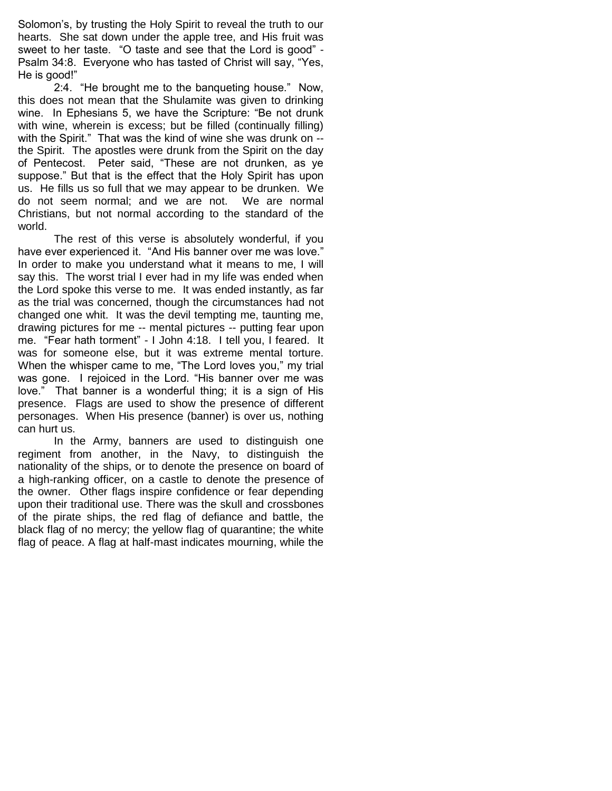Solomon's, by trusting the Holy Spirit to reveal the truth to our hearts. She sat down under the apple tree, and His fruit was sweet to her taste. "O taste and see that the Lord is good" - Psalm 34:8. Everyone who has tasted of Christ will say, "Yes, He is good!"

2:4. "He brought me to the banqueting house." Now, this does not mean that the Shulamite was given to drinking wine. In Ephesians 5, we have the Scripture: "Be not drunk with wine, wherein is excess; but be filled (continually filling) with the Spirit." That was the kind of wine she was drunk on - the Spirit. The apostles were drunk from the Spirit on the day of Pentecost. Peter said, "These are not drunken, as ye suppose." But that is the effect that the Holy Spirit has upon us. He fills us so full that we may appear to be drunken. We do not seem normal; and we are not. We are normal Christians, but not normal according to the standard of the world.

The rest of this verse is absolutely wonderful, if you have ever experienced it. "And His banner over me was love." In order to make you understand what it means to me, I will say this. The worst trial I ever had in my life was ended when the Lord spoke this verse to me. It was ended instantly, as far as the trial was concerned, though the circumstances had not changed one whit. It was the devil tempting me, taunting me, drawing pictures for me -- mental pictures -- putting fear upon me. "Fear hath torment" - I John 4:18. I tell you, I feared. It was for someone else, but it was extreme mental torture. When the whisper came to me, "The Lord loves you," my trial was gone. I rejoiced in the Lord. "His banner over me was love." That banner is a wonderful thing; it is a sign of His presence. Flags are used to show the presence of different personages. When His presence (banner) is over us, nothing can hurt us.

In the Army, banners are used to distinguish one regiment from another, in the Navy, to distinguish the nationality of the ships, or to denote the presence on board of a high-ranking officer, on a castle to denote the presence of the owner. Other flags inspire confidence or fear depending upon their traditional use. There was the skull and crossbones of the pirate ships, the red flag of defiance and battle, the black flag of no mercy; the yellow flag of quarantine; the white flag of peace. A flag at half-mast indicates mourning, while the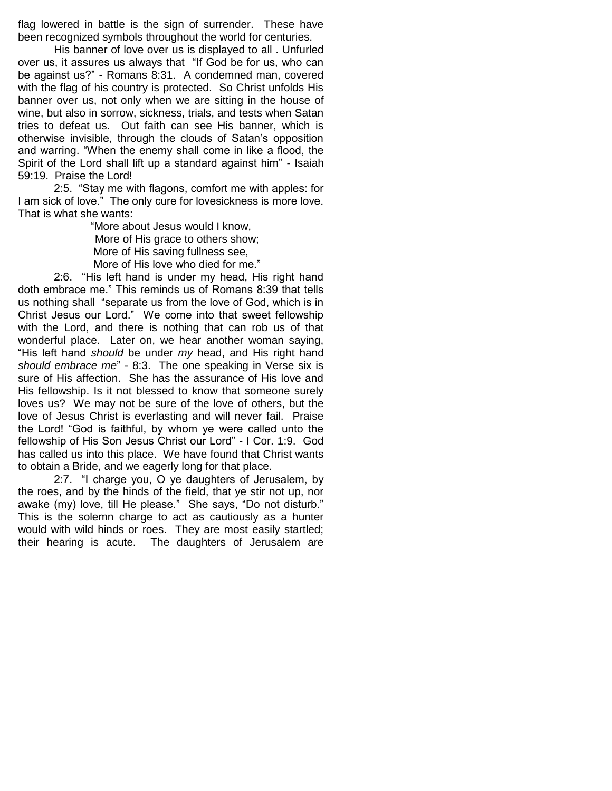flag lowered in battle is the sign of surrender. These have been recognized symbols throughout the world for centuries.

His banner of love over us is displayed to all . Unfurled over us, it assures us always that "If God be for us, who can be against us?" - Romans 8:31. A condemned man, covered with the flag of his country is protected. So Christ unfolds His banner over us, not only when we are sitting in the house of wine, but also in sorrow, sickness, trials, and tests when Satan tries to defeat us. Out faith can see His banner, which is otherwise invisible, through the clouds of Satan"s opposition and warring. "When the enemy shall come in like a flood, the Spirit of the Lord shall lift up a standard against him" - Isaiah 59:19. Praise the Lord!

2:5. "Stay me with flagons, comfort me with apples: for I am sick of love." The only cure for lovesickness is more love. That is what she wants:

> "More about Jesus would I know, More of His grace to others show; More of His saving fullness see, More of His love who died for me."

2:6. "His left hand is under my head, His right hand doth embrace me." This reminds us of Romans 8:39 that tells us nothing shall "separate us from the love of God, which is in Christ Jesus our Lord." We come into that sweet fellowship with the Lord, and there is nothing that can rob us of that wonderful place. Later on, we hear another woman saying, "His left hand *should* be under *my* head, and His right hand *should embrace me*" - 8:3. The one speaking in Verse six is sure of His affection. She has the assurance of His love and His fellowship. Is it not blessed to know that someone surely loves us? We may not be sure of the love of others, but the love of Jesus Christ is everlasting and will never fail. Praise the Lord! "God is faithful, by whom ye were called unto the fellowship of His Son Jesus Christ our Lord" - I Cor. 1:9. God has called us into this place. We have found that Christ wants to obtain a Bride, and we eagerly long for that place.

2:7. "I charge you, O ye daughters of Jerusalem, by the roes, and by the hinds of the field, that ye stir not up, nor awake (my) love, till He please." She says, "Do not disturb." This is the solemn charge to act as cautiously as a hunter would with wild hinds or roes. They are most easily startled; their hearing is acute. The daughters of Jerusalem are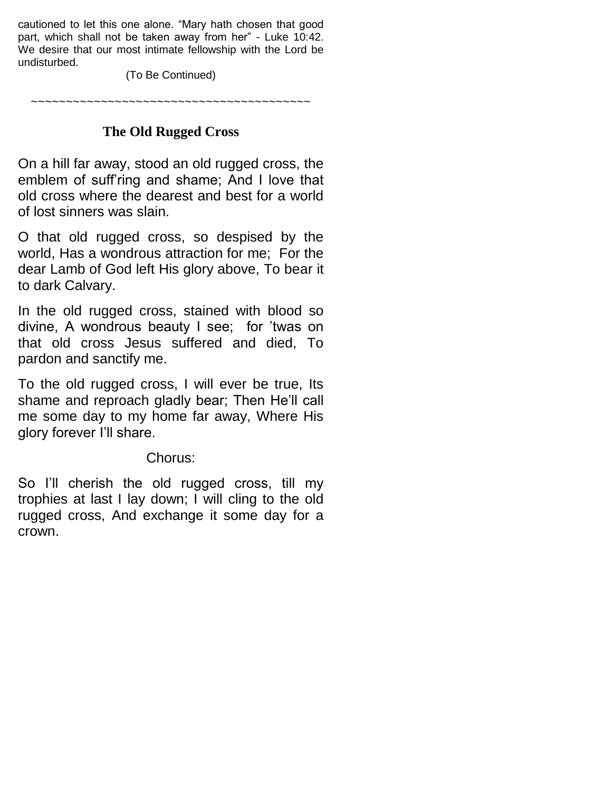cautioned to let this one alone. "Mary hath chosen that good part, which shall not be taken away from her" - Luke 10:42. We desire that our most intimate fellowship with the Lord be undisturbed.

(To Be Continued)

~~~~~~~~~~~~~~~~~~~~~~~~~~~~~~~~~~~~~~~~

## **The Old Rugged Cross**

On a hill far away, stood an old rugged cross, the emblem of suff"ring and shame; And I love that old cross where the dearest and best for a world of lost sinners was slain.

O that old rugged cross, so despised by the world, Has a wondrous attraction for me; For the dear Lamb of God left His glory above, To bear it to dark Calvary.

In the old rugged cross, stained with blood so divine, A wondrous beauty I see; for "twas on that old cross Jesus suffered and died, To pardon and sanctify me.

To the old rugged cross, I will ever be true, Its shame and reproach gladly bear; Then He'll call me some day to my home far away, Where His glory forever I"ll share.

## Chorus:

So I"ll cherish the old rugged cross, till my trophies at last I lay down; I will cling to the old rugged cross, And exchange it some day for a crown.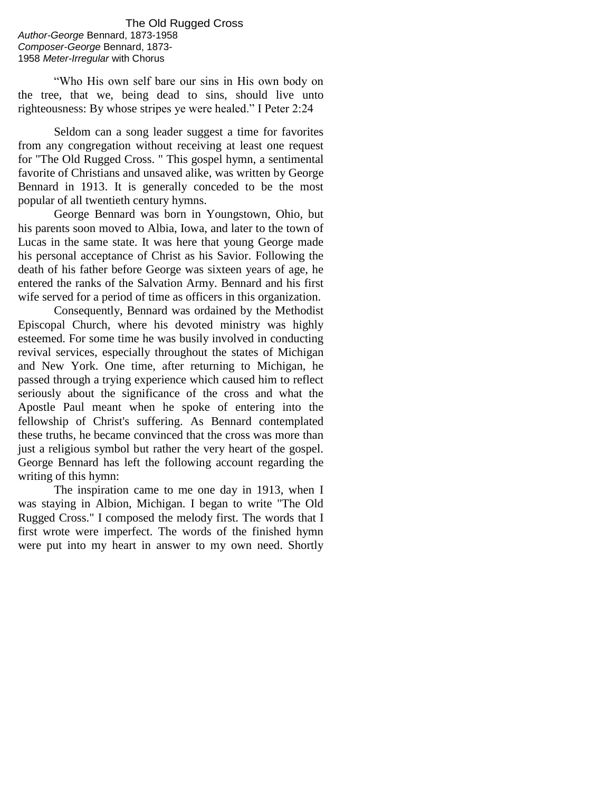#### The Old Rugged Cross *Author-George* Bennard, 1873-1958 *Composer-George* Bennard, 1873- 1958 *Meter-Irregular* with Chorus

"Who His own self bare our sins in His own body on the tree, that we, being dead to sins, should live unto righteousness: By whose stripes ye were healed." I Peter 2:24

Seldom can a song leader suggest a time for favorites from any congregation without receiving at least one request for "The Old Rugged Cross. " This gospel hymn, a sentimental favorite of Christians and unsaved alike, was written by George Bennard in 1913. It is generally conceded to be the most popular of all twentieth century hymns.

George Bennard was born in Youngstown, Ohio, but his parents soon moved to Albia, Iowa, and later to the town of Lucas in the same state. It was here that young George made his personal acceptance of Christ as his Savior. Following the death of his father before George was sixteen years of age, he entered the ranks of the Salvation Army. Bennard and his first wife served for a period of time as officers in this organization.

Consequently, Bennard was ordained by the Methodist Episcopal Church, where his devoted ministry was highly esteemed. For some time he was busily involved in conducting revival services, especially throughout the states of Michigan and New York. One time, after returning to Michigan, he passed through a trying experience which caused him to reflect seriously about the significance of the cross and what the Apostle Paul meant when he spoke of entering into the fellowship of Christ's suffering. As Bennard contemplated these truths, he became convinced that the cross was more than just a religious symbol but rather the very heart of the gospel. George Bennard has left the following account regarding the writing of this hymn:

The inspiration came to me one day in 1913, when I was staying in Albion, Michigan. I began to write "The Old Rugged Cross." I composed the melody first. The words that I first wrote were imperfect. The words of the finished hymn were put into my heart in answer to my own need. Shortly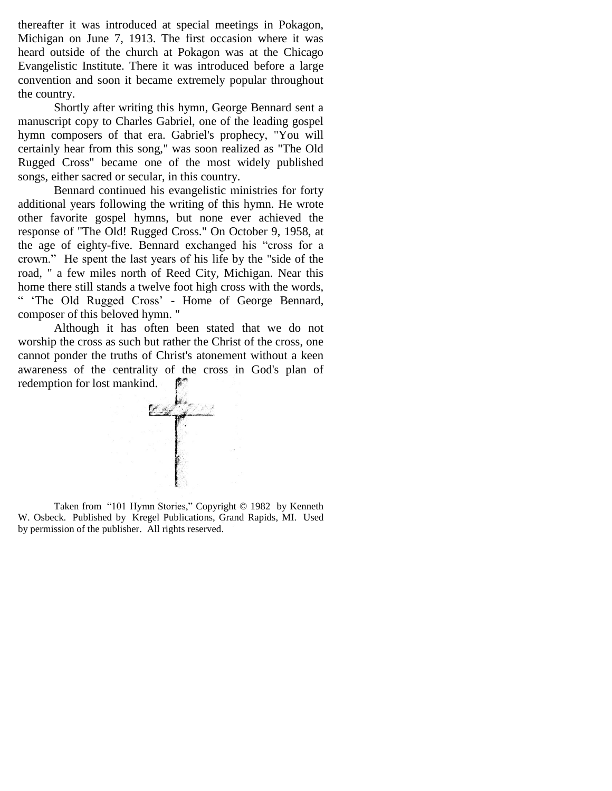thereafter it was introduced at special meetings in Pokagon, Michigan on June 7, 1913. The first occasion where it was heard outside of the church at Pokagon was at the Chicago Evangelistic Institute. There it was introduced before a large convention and soon it became extremely popular throughout the country.

Shortly after writing this hymn, George Bennard sent a manuscript copy to Charles Gabriel, one of the leading gospel hymn composers of that era. Gabriel's prophecy, "You will certainly hear from this song," was soon realized as "The Old Rugged Cross" became one of the most widely published songs, either sacred or secular, in this country.

Bennard continued his evangelistic ministries for forty additional years following the writing of this hymn. He wrote other favorite gospel hymns, but none ever achieved the response of "The Old! Rugged Cross." On October 9, 1958, at the age of eighty-five. Bennard exchanged his "cross for a crown." He spent the last years of his life by the "side of the road, " a few miles north of Reed City, Michigan. Near this home there still stands a twelve foot high cross with the words, " "The Old Rugged Cross" - Home of George Bennard, composer of this beloved hymn. "

Although it has often been stated that we do not worship the cross as such but rather the Christ of the cross, one cannot ponder the truths of Christ's atonement without a keen awareness of the centrality of the cross in God's plan of redemption for lost mankind.



Taken from "101 Hymn Stories," Copyright © 1982 by Kenneth W. Osbeck. Published by Kregel Publications, Grand Rapids, MI. Used by permission of the publisher. All rights reserved.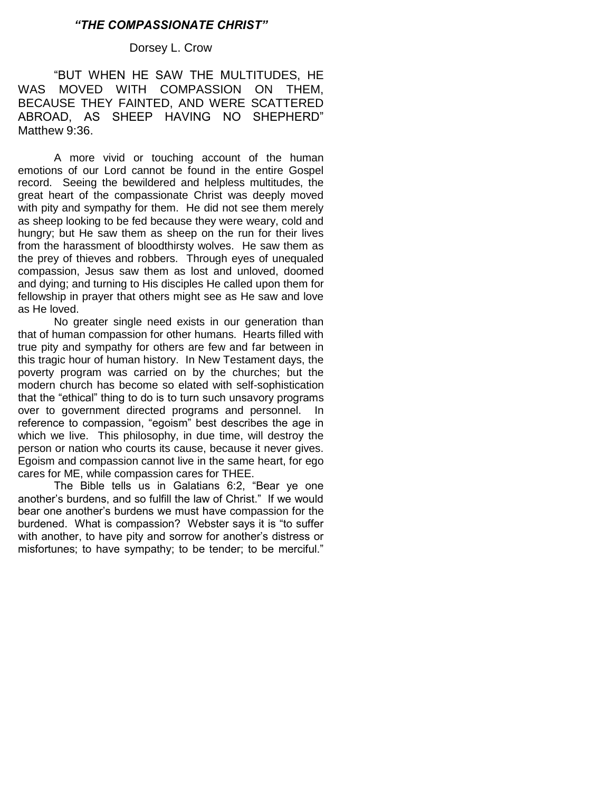### *"THE COMPASSIONATE CHRIST"*

#### Dorsey L. Crow

"BUT WHEN HE SAW THE MULTITUDES, HE WAS MOVED WITH COMPASSION ON THEM, BECAUSE THEY FAINTED, AND WERE SCATTERED ABROAD, AS SHEEP HAVING NO SHEPHERD" Matthew 9:36.

A more vivid or touching account of the human emotions of our Lord cannot be found in the entire Gospel record. Seeing the bewildered and helpless multitudes, the great heart of the compassionate Christ was deeply moved with pity and sympathy for them. He did not see them merely as sheep looking to be fed because they were weary, cold and hungry; but He saw them as sheep on the run for their lives from the harassment of bloodthirsty wolves. He saw them as the prey of thieves and robbers. Through eyes of unequaled compassion, Jesus saw them as lost and unloved, doomed and dying; and turning to His disciples He called upon them for fellowship in prayer that others might see as He saw and love as He loved.

No greater single need exists in our generation than that of human compassion for other humans. Hearts filled with true pity and sympathy for others are few and far between in this tragic hour of human history. In New Testament days, the poverty program was carried on by the churches; but the modern church has become so elated with self-sophistication that the "ethical" thing to do is to turn such unsavory programs over to government directed programs and personnel. In reference to compassion, "egoism" best describes the age in which we live. This philosophy, in due time, will destroy the person or nation who courts its cause, because it never gives. Egoism and compassion cannot live in the same heart, for ego cares for ME, while compassion cares for THEE.

The Bible tells us in Galatians 6:2, "Bear ye one another"s burdens, and so fulfill the law of Christ." If we would bear one another"s burdens we must have compassion for the burdened. What is compassion? Webster says it is "to suffer with another, to have pity and sorrow for another's distress or misfortunes; to have sympathy; to be tender; to be merciful."